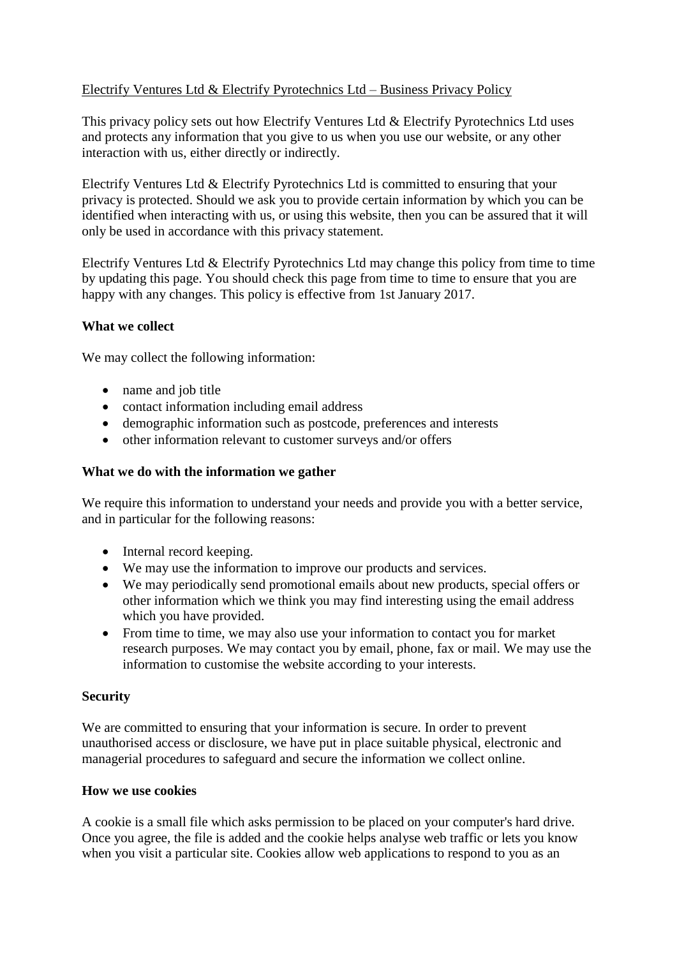# Electrify Ventures Ltd & Electrify Pyrotechnics Ltd – Business Privacy Policy

This privacy policy sets out how Electrify Ventures Ltd & Electrify Pyrotechnics Ltd uses and protects any information that you give to us when you use our website, or any other interaction with us, either directly or indirectly.

Electrify Ventures Ltd & Electrify Pyrotechnics Ltd is committed to ensuring that your privacy is protected. Should we ask you to provide certain information by which you can be identified when interacting with us, or using this website, then you can be assured that it will only be used in accordance with this privacy statement.

Electrify Ventures Ltd & Electrify Pyrotechnics Ltd may change this policy from time to time by updating this page. You should check this page from time to time to ensure that you are happy with any changes. This policy is effective from 1st January 2017.

### **What we collect**

We may collect the following information:

- name and job title
- contact information including email address
- demographic information such as postcode, preferences and interests
- other information relevant to customer surveys and/or offers

### **What we do with the information we gather**

We require this information to understand your needs and provide you with a better service, and in particular for the following reasons:

- Internal record keeping.
- We may use the information to improve our products and services.
- We may periodically send promotional emails about new products, special offers or other information which we think you may find interesting using the email address which you have provided.
- From time to time, we may also use your information to contact you for market research purposes. We may contact you by email, phone, fax or mail. We may use the information to customise the website according to your interests.

#### **Security**

We are committed to ensuring that your information is secure. In order to prevent unauthorised access or disclosure, we have put in place suitable physical, electronic and managerial procedures to safeguard and secure the information we collect online.

#### **How we use cookies**

A cookie is a small file which asks permission to be placed on your computer's hard drive. Once you agree, the file is added and the cookie helps analyse web traffic or lets you know when you visit a particular site. Cookies allow web applications to respond to you as an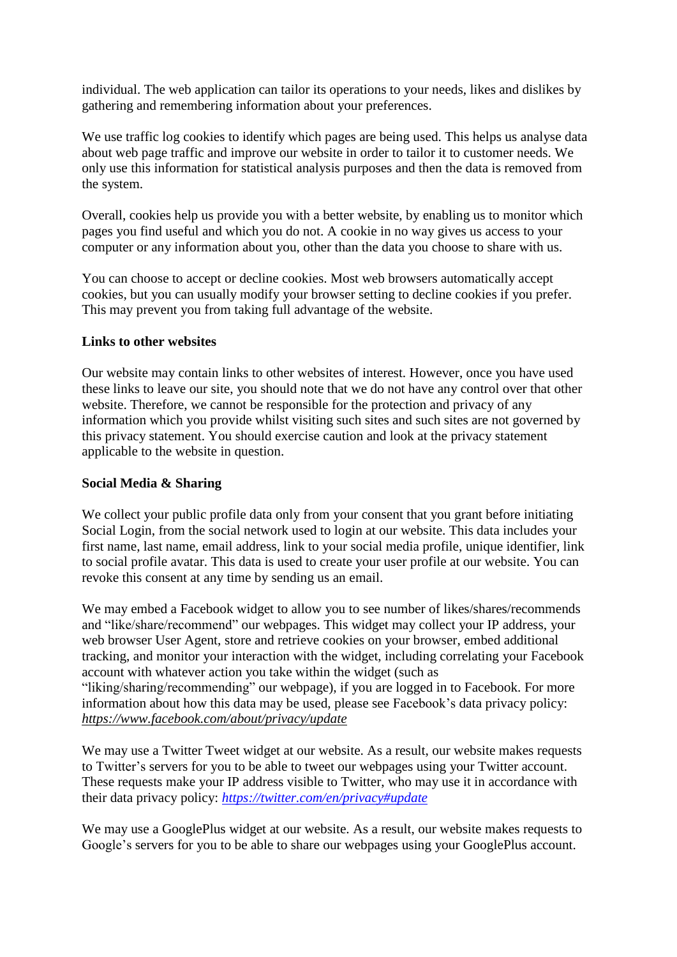individual. The web application can tailor its operations to your needs, likes and dislikes by gathering and remembering information about your preferences.

We use traffic log cookies to identify which pages are being used. This helps us analyse data about web page traffic and improve our website in order to tailor it to customer needs. We only use this information for statistical analysis purposes and then the data is removed from the system.

Overall, cookies help us provide you with a better website, by enabling us to monitor which pages you find useful and which you do not. A cookie in no way gives us access to your computer or any information about you, other than the data you choose to share with us.

You can choose to accept or decline cookies. Most web browsers automatically accept cookies, but you can usually modify your browser setting to decline cookies if you prefer. This may prevent you from taking full advantage of the website.

### **Links to other websites**

Our website may contain links to other websites of interest. However, once you have used these links to leave our site, you should note that we do not have any control over that other website. Therefore, we cannot be responsible for the protection and privacy of any information which you provide whilst visiting such sites and such sites are not governed by this privacy statement. You should exercise caution and look at the privacy statement applicable to the website in question.

#### **Social Media & Sharing**

We collect your public profile data only from your consent that you grant before initiating Social Login, from the social network used to login at our website. This data includes your first name, last name, email address, link to your social media profile, unique identifier, link to social profile avatar. This data is used to create your user profile at our website. You can revoke this consent at any time by sending us an email.

We may embed a Facebook widget to allow you to see number of likes/shares/recommends and "like/share/recommend" our webpages. This widget may collect your IP address, your web browser User Agent, store and retrieve cookies on your browser, embed additional tracking, and monitor your interaction with the widget, including correlating your Facebook account with whatever action you take within the widget (such as "liking/sharing/recommending" our webpage), if you are logged in to Facebook. For more information about how this data may be used, please see Facebook's data privacy policy: *<https://www.facebook.com/about/privacy/update>*

We may use a Twitter Tweet widget at our website. As a result, our website makes requests to Twitter's servers for you to be able to tweet our webpages using your Twitter account. These requests make your IP address visible to Twitter, who may use it in accordance with their data privacy policy: *<https://twitter.com/en/privacy#update>*

We may use a GooglePlus widget at our website. As a result, our website makes requests to Google's servers for you to be able to share our webpages using your GooglePlus account.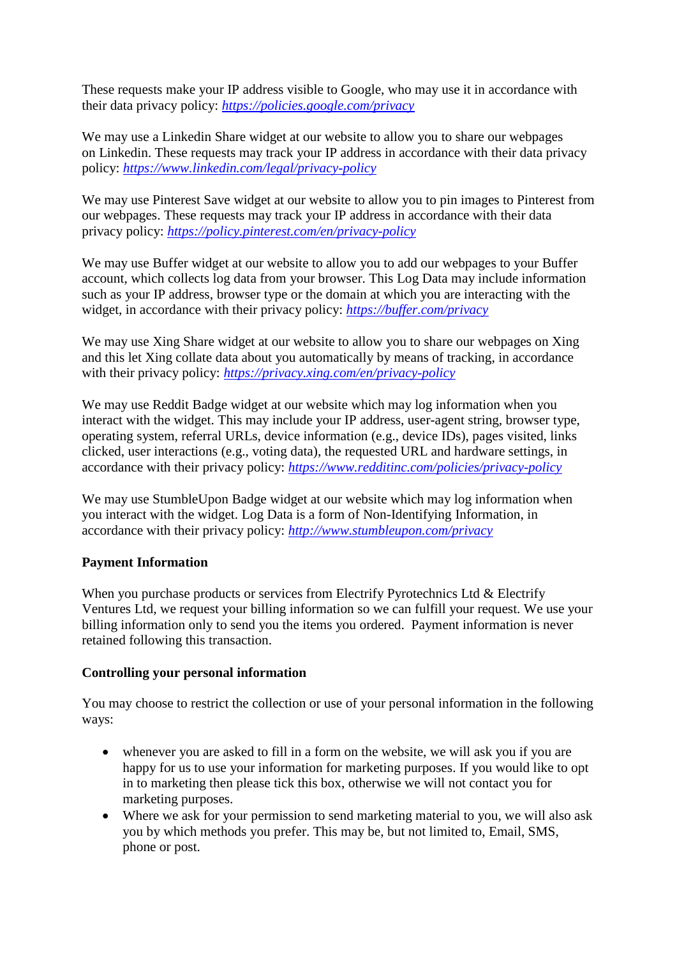These requests make your IP address visible to Google, who may use it in accordance with their data privacy policy: *<https://policies.google.com/privacy>*

We may use a Linkedin Share widget at our website to allow you to share our webpages on Linkedin. These requests may track your IP address in accordance with their data privacy policy: *<https://www.linkedin.com/legal/privacy-policy>*

We may use Pinterest Save widget at our website to allow you to pin images to Pinterest from our webpages. These requests may track your IP address in accordance with their data privacy policy: *<https://policy.pinterest.com/en/privacy-policy>*

We may use Buffer widget at our website to allow you to add our webpages to your Buffer account, which collects log data from your browser. This Log Data may include information such as your IP address, browser type or the domain at which you are interacting with the widget, in accordance with their privacy policy: *<https://buffer.com/privacy>*

We may use Xing Share widget at our website to allow you to share our webpages on Xing and this let Xing collate data about you automatically by means of tracking, in accordance with their privacy policy: *<https://privacy.xing.com/en/privacy-policy>*

We may use Reddit Badge widget at our website which may log information when you interact with the widget. This may include your IP address, user-agent string, browser type, operating system, referral URLs, device information (e.g., device IDs), pages visited, links clicked, user interactions (e.g., voting data), the requested URL and hardware settings, in accordance with their privacy policy: *<https://www.redditinc.com/policies/privacy-policy>*

We may use StumbleUpon Badge widget at our website which may log information when you interact with the widget. Log Data is a form of Non-Identifying Information, in accordance with their privacy policy: *http://www.stumbleupon.com/privacy*

# **Payment Information**

When you purchase products or services from Electrify Pyrotechnics Ltd & Electrify Ventures Ltd, we request your billing information so we can fulfill your request. We use your billing information only to send you the items you ordered. Payment information is never retained following this transaction.

# **Controlling your personal information**

You may choose to restrict the collection or use of your personal information in the following ways:

- whenever you are asked to fill in a form on the website, we will ask you if you are happy for us to use your information for marketing purposes. If you would like to opt in to marketing then please tick this box, otherwise we will not contact you for marketing purposes.
- Where we ask for your permission to send marketing material to you, we will also ask you by which methods you prefer. This may be, but not limited to, Email, SMS, phone or post.